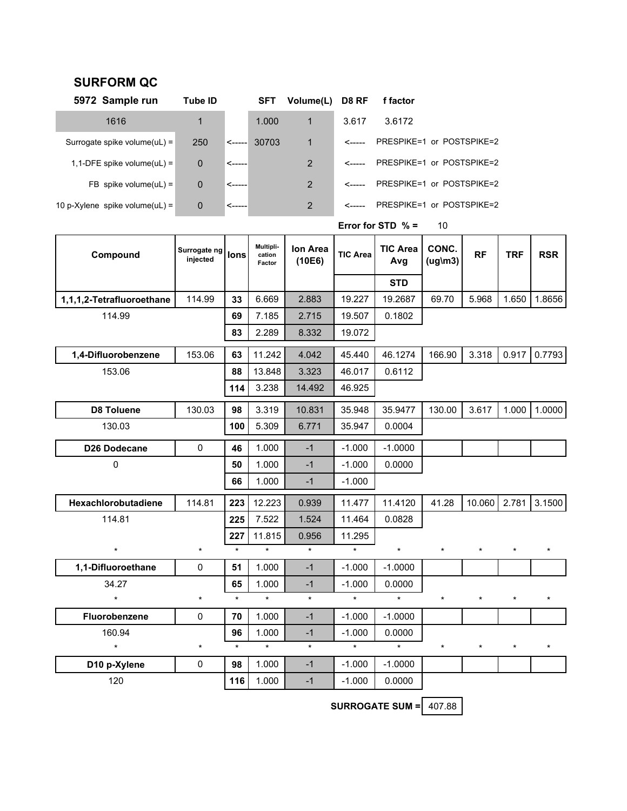## **SURFORM QC**

| 5972 Sample run                 | Tube ID     |              | SFT   | Volume(L) D8 RF |       | f factor |                                  |
|---------------------------------|-------------|--------------|-------|-----------------|-------|----------|----------------------------------|
| 1616                            | 1           |              | 1.000 | $\mathbf{1}$    | 3.617 | 3.6172   |                                  |
| Surrogate spike volume $(UL)$ = | 250         | $\leftarrow$ | 30703 | $\mathbf{1}$    |       |          | <----- PRESPIKE=1 or POSTSPIKE=2 |
| 1,1-DFE spike volume(uL) =      | $\mathbf 0$ | '<-----      |       | 2               |       |          | <----- PRESPIKE=1 or POSTSPIKE=2 |
| FB spike volume(uL) =           | $\mathbf 0$ | $\leftarrow$ |       | $2^{\circ}$     |       |          | <----- PRESPIKE=1 or POSTSPIKE=2 |
| 10 p-Xylene spike volume(uL) =  | 0           | '<------     |       | 2               |       |          | PRESPIKE=1 or POSTSPIKE=2        |

| Compound                  | Surrogate ng<br>injected | <b>lons</b> | Multipli-<br>cation<br>Factor | Ion Area<br>(10E6) | <b>TIC Area</b> | <b>TIC Area</b><br>Avg | CONC.<br>$(ug\m03)$ | <b>RF</b> | <b>TRF</b> | <b>RSR</b> |
|---------------------------|--------------------------|-------------|-------------------------------|--------------------|-----------------|------------------------|---------------------|-----------|------------|------------|
|                           |                          |             |                               |                    |                 | <b>STD</b>             |                     |           |            |            |
| 1,1,1,2-Tetrafluoroethane | 114.99                   | 33          | 6.669                         | 2.883              | 19.227          | 19.2687                | 69.70               | 5.968     | 1.650      | 1.8656     |
| 114.99                    |                          | 69          | 7.185                         | 2.715              | 19.507          | 0.1802                 |                     |           |            |            |
|                           |                          | 83          | 2.289                         | 8.332              | 19.072          |                        |                     |           |            |            |
| 1,4-Difluorobenzene       | 153.06                   | 63          | 11.242                        | 4.042              | 45.440          | 46.1274                | 166.90              | 3.318     | 0.917      | 0.7793     |
| 153.06                    |                          | 88          | 13.848                        | 3.323              | 46.017          | 0.6112                 |                     |           |            |            |
|                           |                          | 114         | 3.238                         | 14.492             | 46.925          |                        |                     |           |            |            |
| <b>D8 Toluene</b>         | 130.03                   | 98          | 3.319                         | 10.831             | 35.948          | 35.9477                | 130.00              | 3.617     | 1.000      | 1.0000     |
| 130.03                    |                          | 100         | 5.309                         | 6.771              | 35.947          | 0.0004                 |                     |           |            |            |
| D26 Dodecane              | $\pmb{0}$                | 46          | 1.000                         | $-1$               | $-1.000$        | $-1.0000$              |                     |           |            |            |
| 0                         |                          | 50          | 1.000                         | $-1$               | $-1.000$        | 0.0000                 |                     |           |            |            |
|                           |                          | 66          | 1.000                         | $-1$               | $-1.000$        |                        |                     |           |            |            |
| Hexachlorobutadiene       | 114.81                   | 223         | 12.223                        | 0.939              | 11.477          | 11.4120                | 41.28               | 10.060    | 2.781      | 3.1500     |
| 114.81                    |                          | 225         | 7.522                         | 1.524              | 11.464          | 0.0828                 |                     |           |            |            |
|                           |                          | 227         | 11.815                        | 0.956              | 11.295          |                        |                     |           |            |            |
| $\star$                   | $\star$                  | $\star$     | $\star$                       | $\star$            | $\star$         | $\star$                | $\star$             | $\star$   | $^{\star}$ | $\star$    |
| 1,1-Difluoroethane        | $\mathbf 0$              | 51          | 1.000                         | $-1$               | $-1.000$        | $-1.0000$              |                     |           |            |            |
| 34.27                     |                          | 65          | 1.000                         | $-1$               | $-1.000$        | 0.0000                 |                     |           |            |            |
| $\star$                   | $\star$                  | $\star$     | $\star$                       | $\star$            | $\star$         | $\star$                | $\star$             | $\star$   | $\star$    | $\star$    |
| Fluorobenzene             | $\mathbf 0$              | 70          | 1.000                         | $-1$               | $-1.000$        | $-1.0000$              |                     |           |            |            |
| 160.94                    |                          | 96          | 1.000                         | $-1$               | $-1.000$        | 0.0000                 |                     |           |            |            |
| $\star$                   | $\star$                  | $\star$     | $\star$                       | $\star$            | $\star$         | $\star$                | $\star$             | $\star$   | $\star$    | $\star$    |
| D10 p-Xylene              | 0                        | 98          | 1.000                         | $-1$               | $-1.000$        | $-1.0000$              |                     |           |            |            |
| 120                       |                          | 116         | 1.000                         | $-1$               | $-1.000$        | 0.0000                 |                     |           |            |            |

**Error for STD % =** 10

**SURROGATE SUM =** 407.88